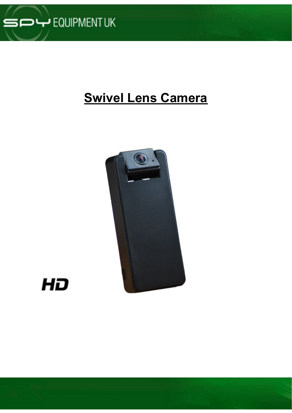

# **Swivel Lens Camera**



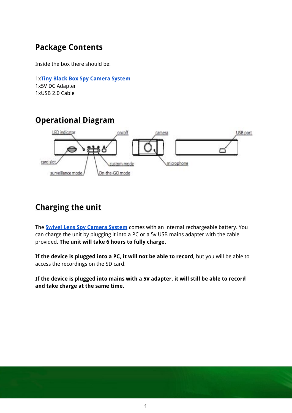## **Package Contents**

Inside the box there should be:

1x**Tiny Black Box Spy [Camera](http://www.spyequipmentuk.co.uk/index.php?option=com_virtuemart&view=productdetails&virtuemart_category_id=12&virtuemart_product_id=365) System** 1x5V DC Adapter 1xUSB 2.0 Cable

### **Operational Diagram**



### **Charging the unit**

The **Swivel Lens Spy [Camera](https://www.spyequipmentuk.co.uk/swivel-lens-wide-angle-cam-dvr) System** comes with an internal rechargeable battery. You can charge the unit by plugging it into a PC or a 5v USB mains adapter with the cable provided. **The unit will take 6 hours to fully charge.**

**If the device is plugged into a PC, it will not be able to record**, but you will be able to access the recordings on the SD card.

**If the device is plugged into mains with a 5V adapter, it will still be able to record and take charge at the same time.**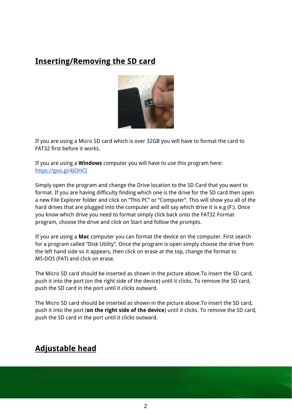### **Inserting/Removing the SD card**



If you are using a Micro SD card which is over 32GB you will have to format the card to FAT32 first before it works.

If you are using a **Windows** computer you will have to use this program here: <https://goo.gl/4JOHCI>

Simply open the program and change the Drive location to the SD Card that you want to format. If you are having difficulty finding which one is the drive for the SD card then open a new File Explorer folder and click on "This PC" or "Computer". This will show you all of the hard drives that are plugged into the computer and will say which drive it is e.g (F:). Once you know which drive you need to format simply click back onto the FAT32 Format program, choose the drive and click on Start and follow the prompts.

If you are using a **Mac** computer you can format the device on the computer. First search for a program called "Disk Utility". Once the program is open simply choose the drive from the left hand side so it appears, then click on erase at the top, change the format to MS-DOS (FAT) and click on erase.

The Micro SD card should be inserted as shown in the picture above.To insert the SD card, push it into the port (on the right side of the device) until it clicks. To remove the SD card, push the SD card in the port until it clicks outward.

The Micro SD card should be inserted as shown in the picture above.To insert the SD card, push it into the port (**on the right side of the device**) until it clicks. To remove the SD card, push the SD card in the port until it clicks outward.

## **Adjustable head**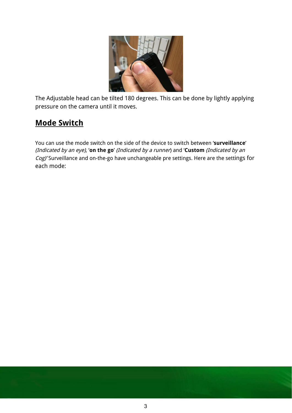

The Adjustable head can be tilted 180 degrees. This can be done by lightly applying pressure on the camera until it moves.

## **Mode Switch**

You can use the mode switch on the side of the device to switch between '**surveillance**' (Indicated by an eye), '**on the go**' (Indicated by <sup>a</sup> runner) and '**Custom** (Indicated by an Cog)' Surveillance and on-the-go have unchangeable pre settings. Here are the settings for each mode: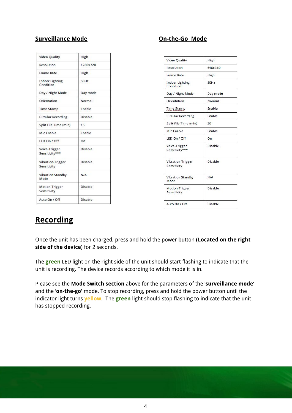#### **Surveillance Mode CONFINGER 1999 MODE On-the-Go Mode**

| Video Quality                       | High           |  |  |
|-------------------------------------|----------------|--|--|
| Resolution                          | 1280x720       |  |  |
| <b>Frame Rate</b>                   | High           |  |  |
| <b>Indoor Lighting</b><br>Condition | 50Hz           |  |  |
| Day / Night Mode                    | Day mode       |  |  |
| Orientation                         | Normal         |  |  |
| <b>Time Stamp</b>                   | Enable         |  |  |
| Circular Recording                  | Disable        |  |  |
| Split File Time (min)               | 15             |  |  |
| Mic Enable                          | Enable         |  |  |
| LED On / Off                        | On             |  |  |
| Voice-Trigger<br>Sensitivity***     | <b>Disable</b> |  |  |
| Vibration-Trigger<br>Sensitivity    | Disable        |  |  |
| Vibration Standby<br>Mode           | N/A            |  |  |
| Motion-Trigger<br>Sensitivity       | Disable        |  |  |
| Auto On / Off                       | Disable        |  |  |

| <b>Video Quality</b>                 | High     |  |  |
|--------------------------------------|----------|--|--|
| <b>Resolution</b>                    | 640x360  |  |  |
| Frame Rate                           | High     |  |  |
| <b>Indoor Lighting</b><br>Condition  | 50Hz     |  |  |
| Day / Night Mode                     | Day mode |  |  |
| Orientation                          | Normal   |  |  |
| <b>Time Stamp</b>                    | Enable   |  |  |
| <b>Circular Recording</b>            | Enable   |  |  |
| Split File Time (min)                | 20       |  |  |
| Mic Enable                           | Enable   |  |  |
| LED On / Off                         | On.      |  |  |
| Voice-Trigger<br>Sensitivity***      | Disable  |  |  |
| Vibration-Trigger<br>Sensitivity     | Disable  |  |  |
| <b>Vibration Standby</b><br>Mode     | N/A      |  |  |
| <b>Motion-Trigger</b><br>Sensitivity | Disable  |  |  |
| Auto On / Off                        | Disable  |  |  |

### **Recording**

Once the unit has been charged, press and hold the power button **(Located on the right side of the device**) for 2 seconds.

The **green** LED light on the right side of the unit should start flashing to indicate that the unit is recording. The device records according to which mode it is in.

Please see the **Mode Switch section** above for the parameters of the '**surveillance mode**' and the '**on-the-go'** mode. To stop recording, press and hold the power button until the indicator light turns **yellow**. The **green** light should stop flashing to indicate that the unit has stopped recording.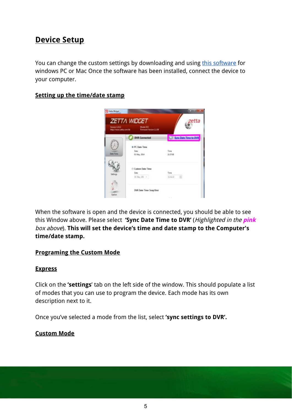### **Device Setup**

You can change the custom settings by downloading and using [this software](https://goo.gl/9N5ptw) for windows PC or Mac Once the software has been installed, connect the device to your computer.

#### **Setting up the time/date stamp**



When the software is open and the device is connected, you should be able to see this Window above. Please select **'Sync Date Time to DVR'** (Highlighted in the **pink** box above). **This will set the device's time and date stamp to the Computer's time/date stamp.**

#### **Programing the Custom Mode**

#### **Express**

Click on the **'settings**' tab on the left side of the window. This should populate a list of modes that you can use to program the device. Each mode has its own description next to it.

Once you've selected a mode from the list, select **'sync settings to DVR'.**

#### **Custom Mode**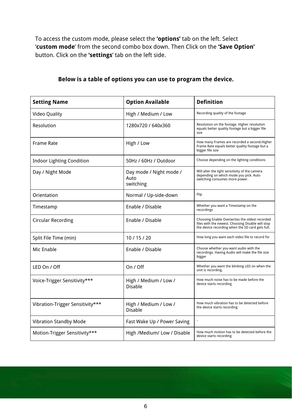To access the custom mode, please select the **'options'** tab on the left. Select '**custom mode**' from the second combo box down. Then Click on the **'Save Option'** button. Click on the **'settings**' tab on the left side.

| <b>Setting Name</b>              | <b>Option Available</b>                      | <b>Definition</b>                                                                                                                                       |  |
|----------------------------------|----------------------------------------------|---------------------------------------------------------------------------------------------------------------------------------------------------------|--|
| <b>Video Quality</b>             | High / Medium / Low                          | Recording quality of the footage                                                                                                                        |  |
| Resolution                       | 1280x720 / 640x360                           | Resolution on the footage. Higher resolution<br>equals better quality footage but a bigger file<br>size                                                 |  |
| <b>Frame Rate</b>                | High / Low                                   | How many Frames are recorded a second. Higher<br>Frame Rate equals better quality footage but a<br>bigger file size                                     |  |
| <b>Indoor Lighting Condition</b> | 50Hz / 60Hz / Outdoor                        | Choose depending on the lighting conditions                                                                                                             |  |
| Day / Night Mode                 | Day mode / Night mode /<br>Auto<br>switching | Will alter the light sensitivity of the camera<br>depending on which mode you pick. Auto<br>switching consumes more power.                              |  |
| Orientation                      | Normal / Up-side-down                        | Flip                                                                                                                                                    |  |
| Timestamp                        | Enable / Disable                             | Whether you want a Timestamp on the<br>recordings                                                                                                       |  |
| <b>Circular Recording</b>        | Enable / Disable                             | Choosing Enable Overwrites the oldest recorded<br>files with the newest. Choosing Disable will stop<br>the device recording when the SD card gets full. |  |
| Split File Time (min)            | 10/15/20                                     | How long you want each video file to record for                                                                                                         |  |
| Mic Enable                       | Enable / Disable                             | Choose whether you want audio with the<br>recordings. Having Audio will make the file size<br>bigger                                                    |  |
| LED On / Off                     | On / Off                                     | Whether you want the blinking LED on when the<br>unit is recording.                                                                                     |  |
| Voice-Trigger Sensitivity***     | High / Medium / Low /<br>Disable             | How much noise has to be made before the<br>device starts recording                                                                                     |  |
| Vibration-Trigger Sensitivity*** | High / Medium / Low /<br>Disable             | How much vibration has to be detected before<br>the device starts recording                                                                             |  |
| <b>Vibration Standby Mode</b>    | Fast Wake Up / Power Saving                  |                                                                                                                                                         |  |
| Motion-Trigger Sensitivity***    | High /Medium/ Low / Disable                  | How much motion has to be detected before the<br>device starts recording                                                                                |  |

#### **Below is a table of options you can use to program the device.**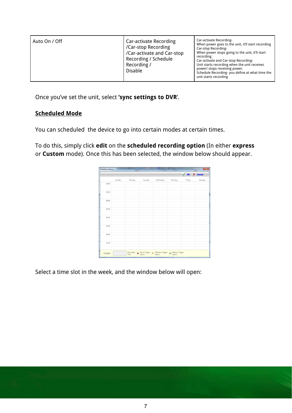| Auto On / Off | Car-activate Recording<br>/Car-stop Recording<br>/Car-activate and Car-stop<br>Recording / Schedule<br>Recording /<br><b>Disable</b> | Car-activate Recording-<br>When power goes to the unit, it'll start recording<br>Car-stop Recording-<br>When power stops going to the unit, it'll start<br>recording.<br>Car-activate and Car-stop Recording-<br>Unit starts recording when the unit receives<br>power/ stops receiving power.<br>Schedule Recording-you define at what time the<br>unit starts recording |
|---------------|--------------------------------------------------------------------------------------------------------------------------------------|---------------------------------------------------------------------------------------------------------------------------------------------------------------------------------------------------------------------------------------------------------------------------------------------------------------------------------------------------------------------------|
|---------------|--------------------------------------------------------------------------------------------------------------------------------------|---------------------------------------------------------------------------------------------------------------------------------------------------------------------------------------------------------------------------------------------------------------------------------------------------------------------------------------------------------------------------|

Once you've set the unit, select **'sync settings to DVR**'.

#### **Scheduled Mode**

You can scheduled the device to go into certain modes at certain times.

To do this, simply click **edit** on the **scheduled recording option** (In either **express** or **Custom** mode). Once this has been selected, the window below should appear.

|       |        |        |         |           |          | V OK X Cancel |          |
|-------|--------|--------|---------|-----------|----------|---------------|----------|
|       | Sunday | Monday | Tuesday | Wednesday | Thursday | Friday        | Saturday |
| 00:00 |        |        |         |           |          |               |          |
| 03:00 |        |        |         |           |          |               |          |
| 06:00 |        |        |         |           |          |               |          |
| 09:00 |        |        |         |           |          |               |          |
| 12:00 |        |        |         |           |          |               |          |
| 15:00 |        |        |         |           |          |               |          |
| 18:00 |        |        |         |           |          |               |          |
| 21:00 |        |        |         |           |          |               |          |

Select a time slot in the week, and the window below will open: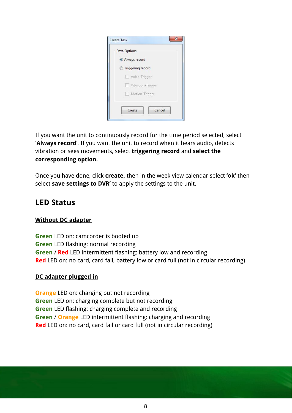| Always record<br><b>Triggering record</b><br>Voice-Trigger<br>Vibration-Trigger<br>Motion-Trigger | <b>Extra Options</b> |        |
|---------------------------------------------------------------------------------------------------|----------------------|--------|
|                                                                                                   |                      |        |
|                                                                                                   |                      |        |
|                                                                                                   |                      |        |
|                                                                                                   |                      |        |
|                                                                                                   | <b>Talling</b>       |        |
|                                                                                                   | Create               | Cancel |

If you want the unit to continuously record for the time period selected, select **'Always record**'. If you want the unit to record when it hears audio, detects vibration or sees movements, select **triggering record** and **select the corresponding option.**

Once you have done, click **create,** then in the week view calendar select **'ok'** then select **save settings to DVR'** to apply the settings to the unit.

### **LED Status**

#### **Without DC adapter**

**Green** LED on: camcorder is booted up **Green** LED flashing: normal recording **Green** / **Red** LED intermittent flashing: battery low and recording **Red** LED on: no card, card fail, battery low or card full (not in circular recording)

#### **DC adapter plugged in**

**Orange** LED on: charging but not recording **Green** LED on: charging complete but not recording **Green** LED flashing: charging complete and recording **Green** / **Orange** LED intermittent flashing: charging and recording **Red** LED on: no card, card fail or card full (not in circular recording)